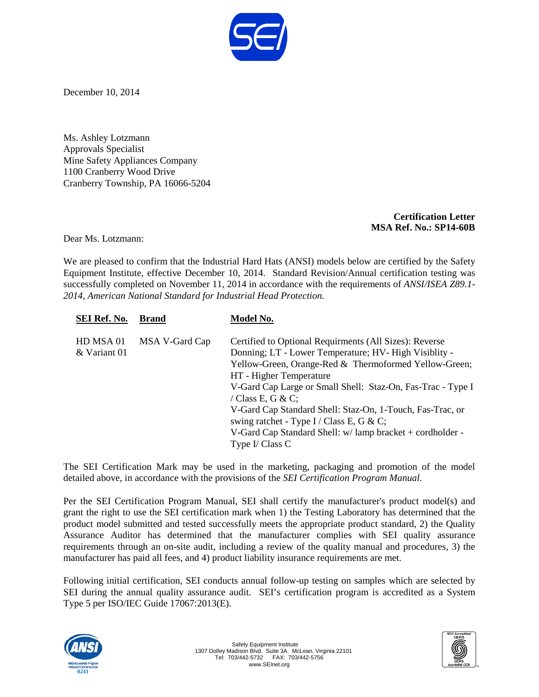

December 10, 2014

Ms. Ashley Lotzmann Approvals Specialist Mine Safety Appliances Company 1100 Cranberry Wood Drive Cranberry Township, PA 16066-5204

## **Certification Letter MSA Ref. No.: SP14-60B**

Dear Ms. Lotzmann:

We are pleased to confirm that the Industrial Hard Hats (ANSI) models below are certified by the Safety Equipment Institute, effective December 10, 2014. Standard Revision/Annual certification testing was successfully completed on November 11, 2014 in accordance with the requirements of *ANSI/ISEA Z89.1- 2014, American National Standard for Industrial Head Protection.*

| SEI Ref. No.              | <b>Brand</b>   | Model No.                                                                                                                                                                                                                                                                                                                                                                                                                                                                        |
|---------------------------|----------------|----------------------------------------------------------------------------------------------------------------------------------------------------------------------------------------------------------------------------------------------------------------------------------------------------------------------------------------------------------------------------------------------------------------------------------------------------------------------------------|
| HD MSA 01<br>& Variant 01 | MSA V-Gard Cap | Certified to Optional Requirments (All Sizes): Reverse<br>Donning; LT - Lower Temperature; HV- High Visiblity -<br>Yellow-Green, Orange-Red & Thermoformed Yellow-Green;<br>HT - Higher Temperature<br>V-Gard Cap Large or Small Shell: Staz-On, Fas-Trac - Type I<br>/ Class E, G & C;<br>V-Gard Cap Standard Shell: Staz-On, 1-Touch, Fas-Trac, or<br>swing ratchet - Type I / Class E, G & C;<br>V-Gard Cap Standard Shell: w/lamp bracket + cordholder -<br>Type $I/Class C$ |

The SEI Certification Mark may be used in the marketing, packaging and promotion of the model detailed above, in accordance with the provisions of the *SEI Certification Program Manual*.

Per the SEI Certification Program Manual, SEI shall certify the manufacturer's product model(s) and grant the right to use the SEI certification mark when 1) the Testing Laboratory has determined that the product model submitted and tested successfully meets the appropriate product standard, 2) the Quality Assurance Auditor has determined that the manufacturer complies with SEI quality assurance requirements through an on-site audit, including a review of the quality manual and procedures, 3) the manufacturer has paid all fees, and 4) product liability insurance requirements are met.

Following initial certification, SEI conducts annual follow-up testing on samples which are selected by SEI during the annual quality assurance audit. SEI's certification program is accredited as a System Type 5 per ISO/IEC Guide 17067:2013(E).